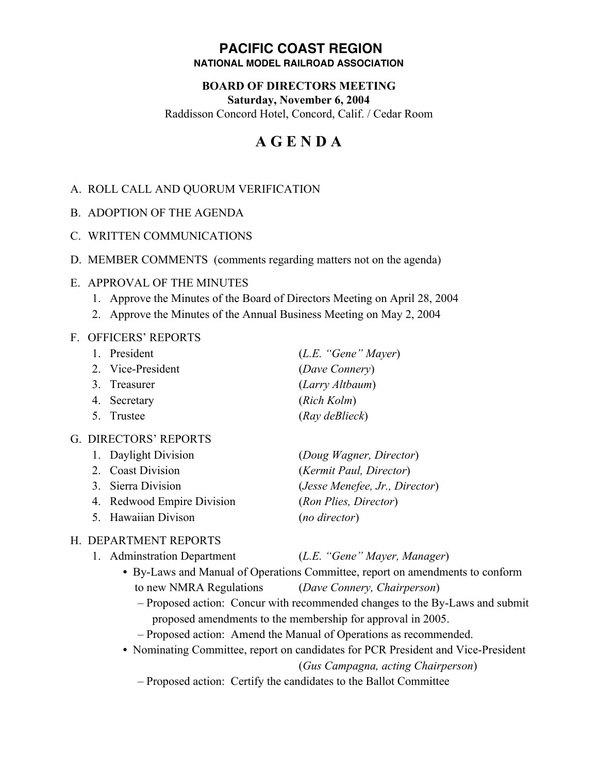#### **PACIFIC COAST REGION NATIONAL MODEL RAILROAD ASSOCIATION**

## **BOARD OF DIRECTORS MEETING Saturday, November 6, 2004**

Raddisson Concord Hotel, Concord, Calif. / Cedar Room

# **A G E N D A**

#### A. ROLL CALL AND QUORUM VERIFICATION

- B. ADOPTION OF THE AGENDA
- C. WRITTEN COMMUNICATIONS
- D. MEMBER COMMENTS (comments regarding matters not on the agenda)
- E. APPROVAL OF THE MINUTES
	- 1. Approve the Minutes of the Board of Directors Meeting on April 28, 2004
	- 2. Approve the Minutes of the Annual Business Meeting on May 2, 2004

#### F. OFFICERS' REPORTS

| 1. President      | (L.E. "Gene" Mayer) |
|-------------------|---------------------|
| 2. Vice-President | (Dave Connery)      |
| 3. Treasurer      | (Larry Altbaum)     |
| 4. Secretary      | (Rich Kolm)         |
| 5. Trustee        | $(Ray$ deBlieck)    |
|                   |                     |

#### G. DIRECTORS' REPORTS

| 1. Daylight Division       | (Doug Wagner, Director)        |
|----------------------------|--------------------------------|
| 2. Coast Division          | (Kermit Paul, Director)        |
| 3. Sierra Division         | (Jesse Menefee, Jr., Director) |
| 4. Redwood Empire Division | (Ron Plies, Director)          |
| 5. Hawaiian Divison        | (no director)                  |

## H. DEPARTMENT REPORTS

| 1. Adminstration Department                                                   | (L.E. "Gene" Mayer, Manager) |  |
|-------------------------------------------------------------------------------|------------------------------|--|
| • By-Laws and Manual of Operations Committee, report on amendments to conform |                              |  |
|                                                                               |                              |  |

- to new NMRA Regulations (*Dave Connery, Chairperson*) – Proposed action: Concur with recommended changes to the By-Laws and submit
	- proposed amendments to the membership for approval in 2005.
- Proposed action: Amend the Manual of Operations as recommended.
- **•** Nominating Committee, report on candidates for PCR President and Vice-President

(*Gus Campagna, acting Chairperson*)

– Proposed action: Certify the candidates to the Ballot Committee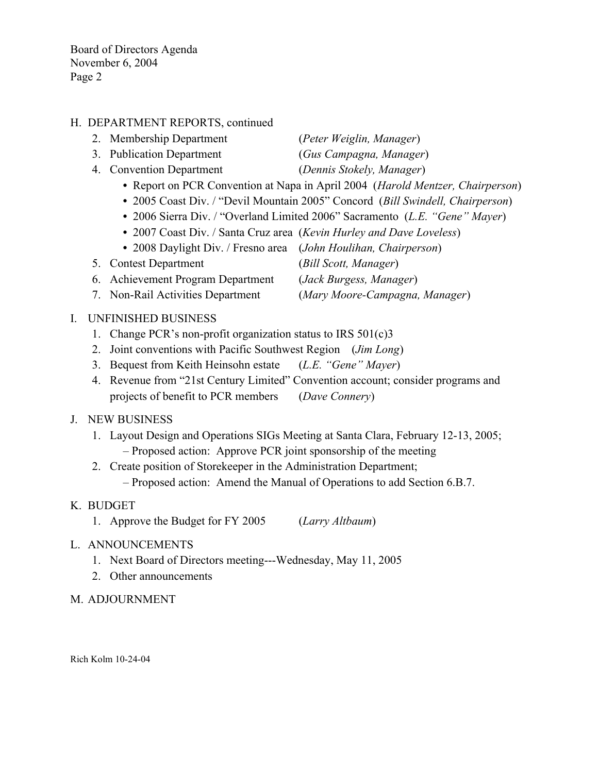Board of Directors Agenda November 6, 2004 Page 2

#### H. DEPARTMENT REPORTS, continued

- 2. Membership Department (*Peter Weiglin, Manager*)
- 3. Publication Department (*Gus Campagna, Manager*)
- 4. Convention Department (*Dennis Stokely, Manager*)
	- **•** Report on PCR Convention at Napa in April 2004 (*Harold Mentzer, Chairperson*)
	- **•** 2005 Coast Div. / "Devil Mountain 2005" Concord (*Bill Swindell, Chairperson*)
	- **•** 2006 Sierra Div. / "Overland Limited 2006" Sacramento (*L.E. "Gene" Mayer*)
	- **•** 2007 Coast Div. / Santa Cruz area (*Kevin Hurley and Dave Loveless*)
	- **•** 2008 Daylight Div. / Fresno area (*John Houlihan, Chairperson*)
- 5. Contest Department (*Bill Scott, Manager*)
- 6. Achievement Program Department (*Jack Burgess, Manager*)
- 7. Non-Rail Activities Department (*Mary Moore-Campagna, Manager*)

#### I. UNFINISHED BUSINESS

- 1. Change PCR's non-profit organization status to IRS 501(c)3
- 2. Joint conventions with Pacific Southwest Region (*Jim Long*)
- 3. Bequest from Keith Heinsohn estate (*L.E. "Gene" Mayer*)
- 4. Revenue from "21st Century Limited" Convention account; consider programs and projects of benefit to PCR members (*Dave Connery*)

#### J. NEW BUSINESS

- 1. Layout Design and Operations SIGs Meeting at Santa Clara, February 12-13, 2005; – Proposed action: Approve PCR joint sponsorship of the meeting
- 2. Create position of Storekeeper in the Administration Department; – Proposed action: Amend the Manual of Operations to add Section 6.B.7.

#### K. BUDGET

- 1. Approve the Budget for FY 2005 (*Larry Altbaum*)
- L. ANNOUNCEMENTS
	- 1. Next Board of Directors meeting---Wednesday, May 11, 2005
	- 2. Other announcements
- M. ADJOURNMENT

Rich Kolm 10-24-04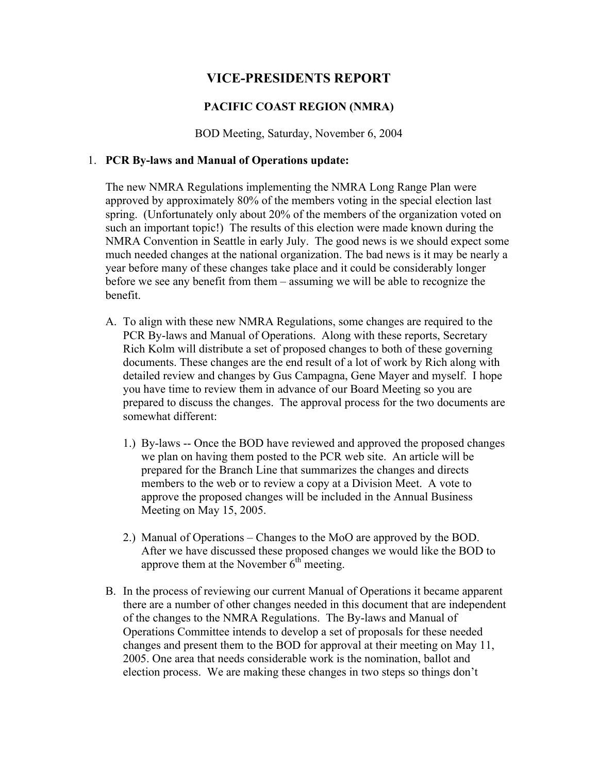### **VICE-PRESIDENTS REPORT**

#### **PACIFIC COAST REGION (NMRA)**

BOD Meeting, Saturday, November 6, 2004

#### 1. **PCR By-laws and Manual of Operations update:**

The new NMRA Regulations implementing the NMRA Long Range Plan were approved by approximately 80% of the members voting in the special election last spring. (Unfortunately only about 20% of the members of the organization voted on such an important topic!) The results of this election were made known during the NMRA Convention in Seattle in early July. The good news is we should expect some much needed changes at the national organization. The bad news is it may be nearly a year before many of these changes take place and it could be considerably longer before we see any benefit from them – assuming we will be able to recognize the benefit.

- A. To align with these new NMRA Regulations, some changes are required to the PCR By-laws and Manual of Operations. Along with these reports, Secretary Rich Kolm will distribute a set of proposed changes to both of these governing documents. These changes are the end result of a lot of work by Rich along with detailed review and changes by Gus Campagna, Gene Mayer and myself. I hope you have time to review them in advance of our Board Meeting so you are prepared to discuss the changes. The approval process for the two documents are somewhat different:
	- 1.) By-laws -- Once the BOD have reviewed and approved the proposed changes we plan on having them posted to the PCR web site. An article will be prepared for the Branch Line that summarizes the changes and directs members to the web or to review a copy at a Division Meet. A vote to approve the proposed changes will be included in the Annual Business Meeting on May 15, 2005.
	- 2.) Manual of Operations Changes to the MoO are approved by the BOD. After we have discussed these proposed changes we would like the BOD to approve them at the November  $6<sup>th</sup>$  meeting.
- B. In the process of reviewing our current Manual of Operations it became apparent there are a number of other changes needed in this document that are independent of the changes to the NMRA Regulations. The By-laws and Manual of Operations Committee intends to develop a set of proposals for these needed changes and present them to the BOD for approval at their meeting on May 11, 2005. One area that needs considerable work is the nomination, ballot and election process. We are making these changes in two steps so things don't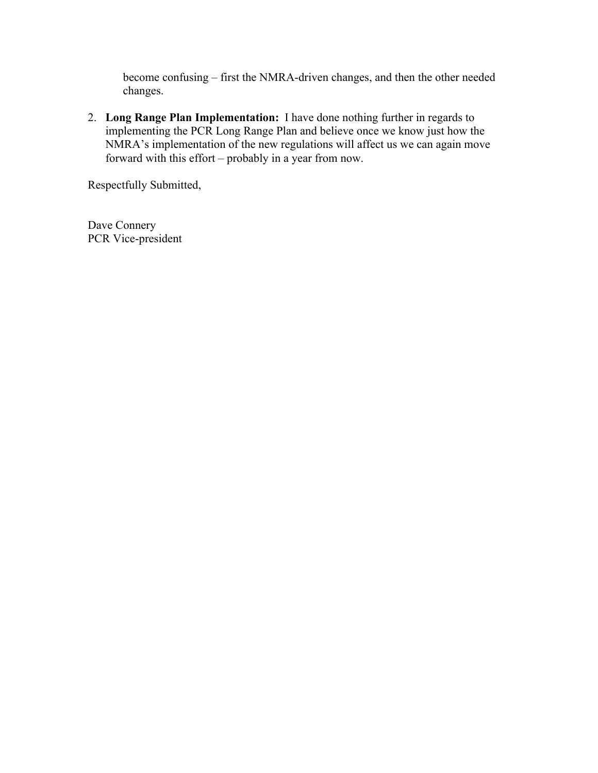become confusing – first the NMRA-driven changes, and then the other needed changes.

2. **Long Range Plan Implementation:** I have done nothing further in regards to implementing the PCR Long Range Plan and believe once we know just how the NMRA's implementation of the new regulations will affect us we can again move forward with this effort – probably in a year from now.

Respectfully Submitted,

Dave Connery PCR Vice-president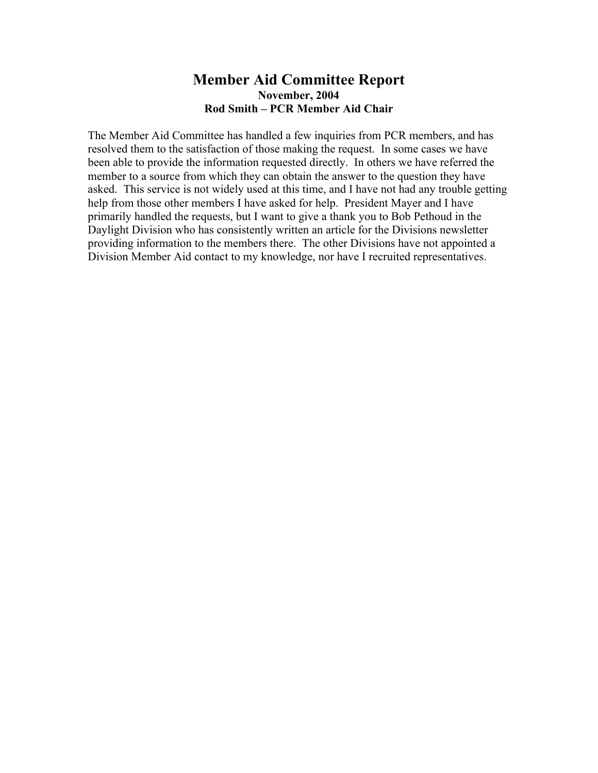#### **Member Aid Committee Report November, 2004 Rod Smith – PCR Member Aid Chair**

The Member Aid Committee has handled a few inquiries from PCR members, and has resolved them to the satisfaction of those making the request. In some cases we have been able to provide the information requested directly. In others we have referred the member to a source from which they can obtain the answer to the question they have asked. This service is not widely used at this time, and I have not had any trouble getting help from those other members I have asked for help. President Mayer and I have primarily handled the requests, but I want to give a thank you to Bob Pethoud in the Daylight Division who has consistently written an article for the Divisions newsletter providing information to the members there. The other Divisions have not appointed a Division Member Aid contact to my knowledge, nor have I recruited representatives.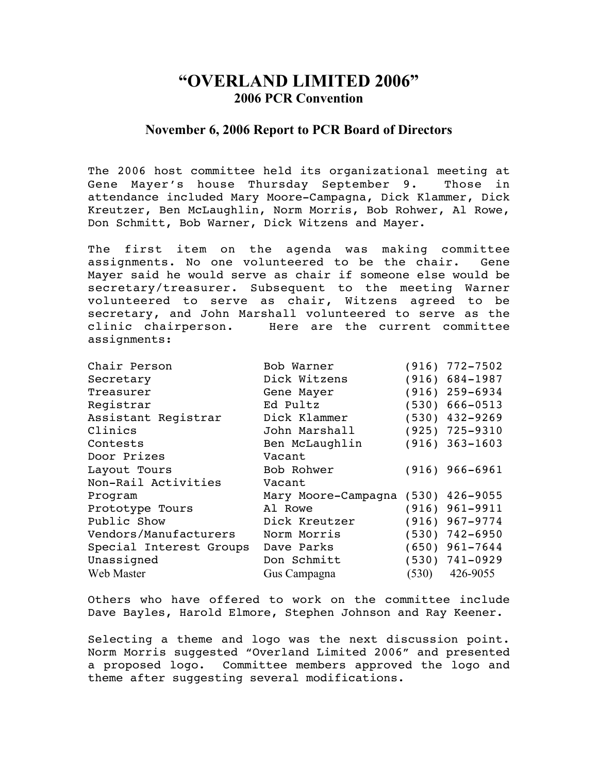# **"OVERLAND LIMITED 2006" 2006 PCR Convention**

#### **November 6, 2006 Report to PCR Board of Directors**

The 2006 host committee held its organizational meeting at Gene Mayer's house Thursday September 9. Those in attendance included Mary Moore-Campagna, Dick Klammer, Dick Kreutzer, Ben McLaughlin, Norm Morris, Bob Rohwer, Al Rowe, Don Schmitt, Bob Warner, Dick Witzens and Mayer.

The first item on the agenda was making committee assignments. No one volunteered to be the chair. Gene Mayer said he would serve as chair if someone else would be secretary/treasurer. Subsequent to the meeting Warner volunteered to serve as chair, Witzens agreed to be secretary, and John Marshall volunteered to serve as the clinic chairperson. Here are the current committee assignments:

| Chair Person            | Bob Warner                         |       | $(916) 772 - 7502$ |
|-------------------------|------------------------------------|-------|--------------------|
| Secretary               | Dick Witzens                       |       | $(916) 684 - 1987$ |
| Treasurer               | Gene Mayer                         |       | $(916)$ 259-6934   |
| Registrar               | Ed Pultz                           |       | $(530)$ 666-0513   |
| Assistant Registrar     | Dick Klammer                       |       | $(530)$ 432-9269   |
| Clinics                 | John Marshall                      |       | $(925)$ 725-9310   |
| Contests                | Ben McLaughlin                     |       | $(916) 363 - 1603$ |
| Door Prizes             | Vacant                             |       |                    |
| Layout Tours            | Bob Rohwer                         |       | $(916) 966 - 6961$ |
| Non-Rail Activities     | Vacant                             |       |                    |
| Program                 | Mary Moore-Campagna (530) 426-9055 |       |                    |
| Prototype Tours         | Al Rowe                            |       | $(916)$ 961-9911   |
| Public Show             | Dick Kreutzer                      |       | $(916)$ 967-9774   |
| Vendors/Manufacturers   | Norm Morris                        |       | $(530)$ 742-6950   |
| Special Interest Groups | Dave Parks                         |       | $(650)$ 961-7644   |
| Unassigned              | Don Schmitt                        |       | $(530)$ 741-0929   |
| Web Master              | Gus Campagna                       | (530) | 426-9055           |

Others who have offered to work on the committee include Dave Bayles, Harold Elmore, Stephen Johnson and Ray Keener.

Selecting a theme and logo was the next discussion point. Norm Morris suggested "Overland Limited 2006" and presented a proposed logo. Committee members approved the logo and theme after suggesting several modifications.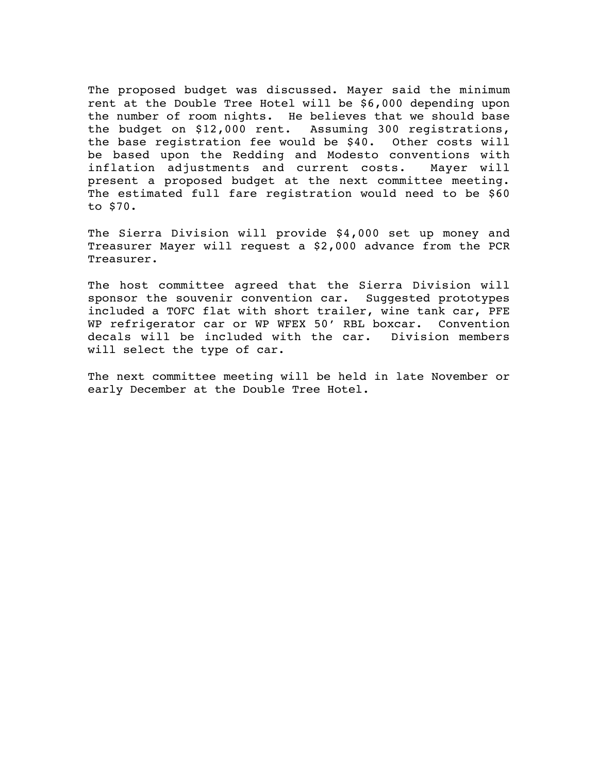The proposed budget was discussed. Mayer said the minimum rent at the Double Tree Hotel will be \$6,000 depending upon the number of room nights. He believes that we should base the budget on \$12,000 rent. Assuming 300 registrations, the base registration fee would be \$40. Other costs will be based upon the Redding and Modesto conventions with inflation adjustments and current costs. Mayer will present a proposed budget at the next committee meeting. The estimated full fare registration would need to be \$60 to \$70.

The Sierra Division will provide \$4,000 set up money and Treasurer Mayer will request a \$2,000 advance from the PCR Treasurer.

The host committee agreed that the Sierra Division will sponsor the souvenir convention car. Suggested prototypes included a TOFC flat with short trailer, wine tank car, PFE WP refrigerator car or WP WFEX 50' RBL boxcar. Convention decals will be included with the car. Division members will select the type of car.

The next committee meeting will be held in late November or early December at the Double Tree Hotel.